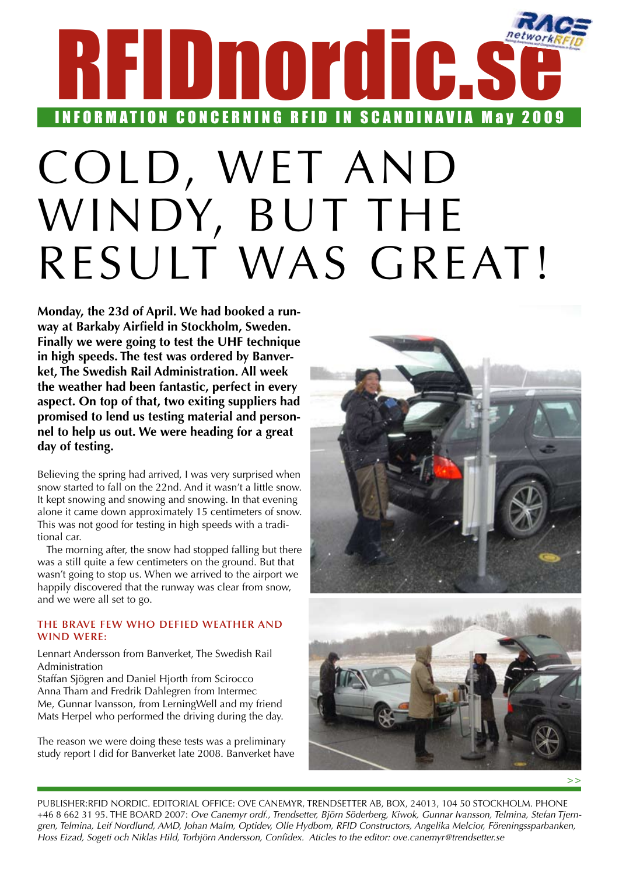# <span id="page-0-0"></span>RFIDnordic.s INFORMATION CONCERNING RFID IN SCANDINAVIA May 2009

# Cold, wet and windy, but the RESULT WAS GREAT!

**Monday, the 23d of April. We had booked a runway at Barkaby Airfield in Stockholm, Sweden. Finally we were going to test the UHF technique in high speeds. The test was ordered by Banverket, The Swedish Rail Administration. All week the weather had been fantastic, perfect in every aspect. On top of that, two exiting suppliers had promised to lend us testing material and personnel to help us out. We were heading for a great day of testing.**

Believing the spring had arrived, I was very surprised when snow started to fall on the 22nd. And it wasn't a little snow. It kept snowing and snowing and snowing. In that evening alone it came down approximately 15 centimeters of snow. This was not good for testing in high speeds with a traditional car.

The morning after, the snow had stopped falling but there was a still quite a few centimeters on the ground. But that wasn't going to stop us. When we arrived to the airport we happily discovered that the runway was clear from snow, and we were all set to go.

### **The brave few who defied weather and wind were:**

Lennart Andersson from Banverket, The Swedish Rail Administration

Staffan Sjögren and Daniel Hjorth from Scirocco Anna Tham and Fredrik Dahlegren from Intermec Me, Gunnar Ivansson, from LerningWell and my friend Mats Herpel who performed the driving during the day.

The reason we were doing these tests was a preliminary study report I did for Banverket late 2008. Banverket have





Publisher:RFID Nordic. Editorial office: Ove Canemyr, Trendsetter AB, Box, 24013, 104 50 Stockholm. Phone +46 8 662 31 95. THE BOARD 2007: Ove Canemyr ordf., Trendsetter, Björn Söderberg, Kiwok, Gunnar Ivansson, Telmina, Stefan Tjern*gren, Telmina, Leif Nordlund, AMD, Johan Malm, Optidev, Olle Hydbom, RFID Constructors, Angelika Melcior, Föreningssparbanken, Hoss Eizad, Sogeti och Niklas Hild, Torbjörn Andersson, Confidex. Aticles to the editor: ove.canemyr@trendsetter.se*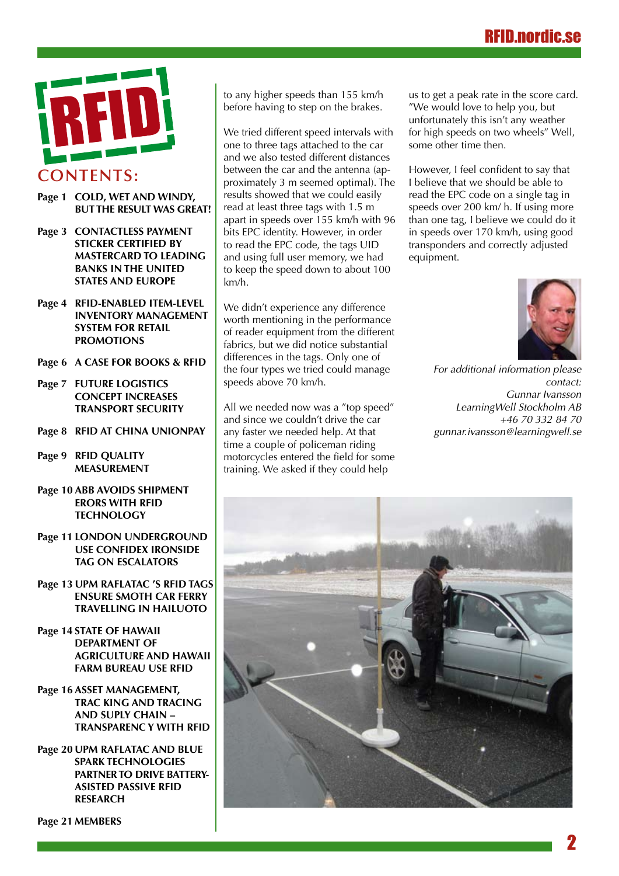# RFID.nordic.se



- **Pag[e 1](#page-0-0) Cold, wet and windy, but the result was great!**
- **Page 3 [CONTACTLESS PAYMENT](#page-2-0)  [STICKER CERTIFIED BY](#page-2-0) [MASTERCARD TO LEADING](#page-2-0) [BANKS IN THE UNITED](#page-2-0) [STATES AND](#page-2-0) EUROPE**
- **Page 4 [RFID-enabled item-level](#page-3-0)  [inventory management](#page-3-0)  [system](#page-3-0) for retail  [promotions](#page-3-0)**
- **Page 6 [A Case for Books & RFID](#page-5-0)**
- **Page 7 [Future logistics](#page-6-0)  [concept increases](#page-6-0)  [transport](#page-6-0) security**
- **Page 8 RFID [at China UnionPay](#page-7-0)**
- **Page 9 [RFID Quality](#page-8-0)  [Measurement](#page-8-0)**
- **Page 10 [ABB avoids](#page-9-0) shipment erors [with RFID](#page-9-0)  [technology](#page-9-0)**
- **Page 11 LONDON UNDERGROUND  [use Confidex Ironside](#page-10-0) [Tag on Escalators](#page-10-0)**
- **Page 13 [UPM Raflatac 's RFID](#page-12-0) tags [ensure smoth](#page-12-0) car ferry  [travelling in Hailuoto](#page-12-0)**
- **Page 14 [State of Hawaii](#page-13-0)   [Department](#page-13-0) of [Agriculture and Hawaii](#page-13-0)  [Farm Bureau](#page-13-0) use RFID**
- **Page 16 [Asset Management,](#page-15-0)  Trac [king and Tracing](#page-15-0)  [and Suply Chain –](#page-15-0) [Transparenc y with RFID](#page-15-0)**

**Page 20 [UPM Raflatac](#page-19-0) and Blue [Spark Technologies](#page-19-0) PARTNERTO DRIVE BATTERY [asisted passive RFID](#page-19-0)  [research](#page-19-0)**

**Page 21 [MEMBERS](#page-20-0)**

to any higher speeds than 155 km/h before having to step on the brakes.

We tried different speed intervals with one to three tags attached to the car and we also tested different distances between the car and the antenna (approximately 3 m seemed optimal). The results showed that we could easily read at least three tags with 1.5 m apart in speeds over 155 km/h with 96 bits EPC identity. However, in order to read the EPC code, the tags UID and using full user memory, we had to keep the speed down to about 100 km/h.

We didn't experience any difference worth mentioning in the performance of reader equipment from the different fabrics, but we did notice substantial differences in the tags. Only one of the four types we tried could manage speeds above 70 km/h.

All we needed now was a "top speed" and since we couldn't drive the car any faster we needed help. At that time a couple of policeman riding motorcycles entered the field for some training. We asked if they could help

us to get a peak rate in the score card. "We would love to help you, but unfortunately this isn't any weather for high speeds on two wheels" Well, some other time then.

However, I feel confident to say that I believe that we should be able to read the EPC code on a single tag in speeds over 200 km/ h. If using more than one tag, I believe we could do it in speeds over 170 km/h, using good transponders and correctly adjusted equipment.

![](_page_1_Picture_22.jpeg)

*For additional information please contact: Gunnar Ivansson LearningWell Stockholm AB +46 70 332 84 70 gunnar.ivansson@learningwell.se*

![](_page_1_Picture_24.jpeg)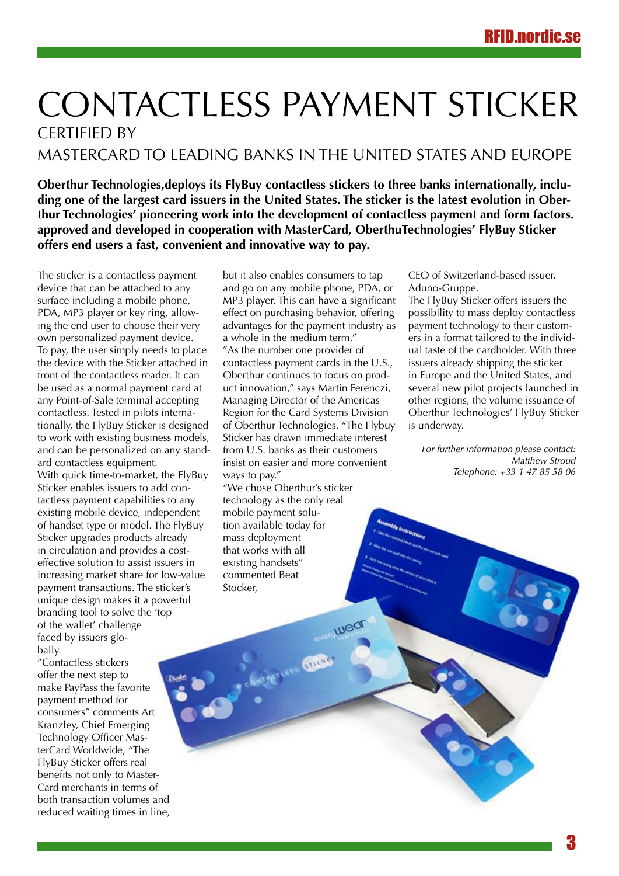# <span id="page-2-0"></span>CONTACTLESS PAYMENT STICKER CERTIFIED BY MASTERCARD TO LEADING BANKS IN THE UNITED STATES AND EUROPE

**Oberthur Technologies,deploys its FlyBuy contactless stickers to three banks internationally, including one of the largest card issuers in the United States. The sticker is the latest evolution in Oberthur Technologies' pioneering work into the development of contactless payment and form factors. approved and developed in cooperation with MasterCard, OberthuTechnologies' FlyBuy Sticker offers end users a fast, convenient and innovative way to pay.** 

The sticker is a contactless payment device that can be attached to any surface including a mobile phone, PDA, MP3 player or key ring, allowing the end user to choose their very own personalized payment device. To pay, the user simply needs to place the device with the Sticker attached in front of the contactless reader. It can be used as a normal payment card at any Point-of-Sale terminal accepting contactless. Tested in pilots internationally, the FlyBuy Sticker is designed to work with existing business models, and can be personalized on any standard contactless equipment. With quick time-to-market, the FlyBuy Sticker enables issuers to add contactless payment capabilities to any existing mobile device, independent of handset type or model. The FlyBuy Sticker upgrades products already in circulation and provides a costeffective solution to assist issuers in increasing market share for low-value payment transactions. The sticker's unique design makes it a powerful branding tool to solve the 'top of the wallet' challenge faced by issuers globally.

"Contactless stickers offer the next step to make PayPass the favorite payment method for consumers" comments Art Kranzley, Chief Emerging Technology Officer MasterCard Worldwide, "The FlyBuy Sticker offers real benefits not only to Master-Card merchants in terms of both transaction volumes and reduced waiting times in line,

but it also enables consumers to tap and go on any mobile phone, PDA, or MP3 player. This can have a significant effect on purchasing behavior, offering advantages for the payment industry as a whole in the medium term." "As the number one provider of contactless payment cards in the U.S., Oberthur continues to focus on product innovation," says Martin Ferenczi, Managing Director of the Americas Region for the Card Systems Division of Oberthur Technologies. "The Flybuy Sticker has drawn immediate interest from U.S. banks as their customers insist on easier and more convenient ways to pay."

"We chose Oberthur's sticker technology as the only real mobile payment solution available today for mass deployment that works with all existing handsets" commented Beat Stocker,

wed

CEO of Switzerland-based issuer, Aduno-Gruppe.

The FlyBuy Sticker offers issuers the possibility to mass deploy contactless payment technology to their customers in a format tailored to the individual taste of the cardholder. With three issuers already shipping the sticker in Europe and the United States, and several new pilot projects launched in other regions, the volume issuance of Oberthur Technologies' FlyBuy Sticker is underway.

*For further information please contact: Matthew Stroud Telephone: +33 1 47 85 58 06*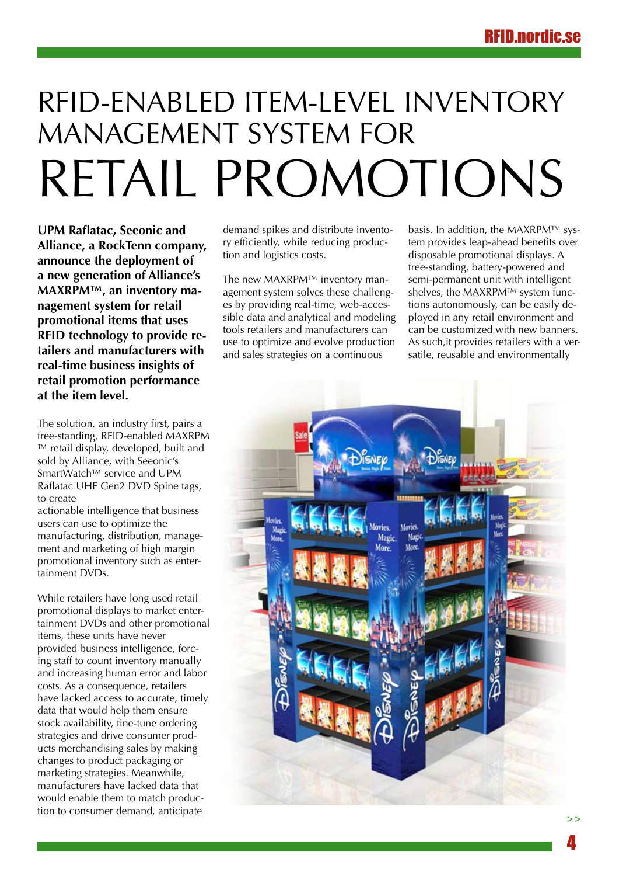# <span id="page-3-0"></span>RFID-enabled item-level inventory management system for retail promotions

**UPM Raflatac, Seeonic and Alliance, a RockTenn company, announce the deployment of a new generation of Alliance's MAXRPM™, an inventory management system for retail promotional items that uses RFID technology to provide retailers and manufacturers with real-time business insights of retail promotion performance at the item level.**

The solution, an industry first, pairs a free-standing, RFID-enabled MAXRPM ™ retail display, developed, built and sold by Alliance, with Seeonic's SmartWatch™ service and UPM Raflatac UHF Gen2 DVD Spine tags, to create

actionable intelligence that business users can use to optimize the manufacturing, distribution, management and marketing of high margin promotional inventory such as entertainment DVDs.

While retailers have long used retail promotional displays to market entertainment DVDs and other promotional items, these units have never provided business intelligence, forcing staff to count inventory manually and increasing human error and labor costs. As a consequence, retailers have lacked access to accurate, timely data that would help them ensure stock availability, fine-tune ordering strategies and drive consumer products merchandising sales by making changes to product packaging or marketing strategies. Meanwhile, manufacturers have lacked data that would enable them to match production to consumer demand, anticipate

demand spikes and distribute inventory efficiently, while reducing production and logistics costs.

The new MAXRPM™ inventory management system solves these challenges by providing real-time, web-accessible data and analytical and modeling tools retailers and manufacturers can use to optimize and evolve production and sales strategies on a continuous

basis. In addition, the MAXRPM™ system provides leap-ahead benefits over disposable promotional displays. A free-standing, battery-powered and semi-permanent unit with intelligent shelves, the MAXRPM™ system functions autonomously, can be easily deployed in any retail environment and can be customized with new banners. As such,it provides retailers with a versatile, reusable and environmentally

![](_page_3_Picture_9.jpeg)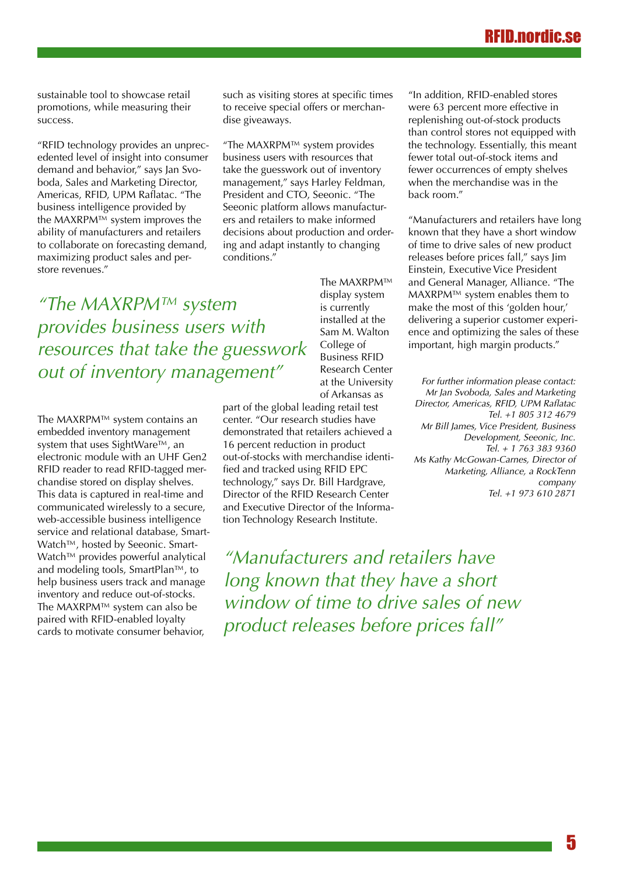# RFIN.nord

sustainable tool to showcase retail promotions, while measuring their success.

"RFID technology provides an unprecedented level of insight into consumer demand and behavior," says Jan Svoboda, Sales and Marketing Director, Americas, RFID, UPM Raflatac. "The business intelligence provided by the MAXRPM™ system improves the ability of manufacturers and retailers to collaborate on forecasting demand, maximizing product sales and perstore revenues."

such as visiting stores at specific times to receive special offers or merchandise giveaways.

"The MAXRPM™ system provides business users with resources that take the guesswork out of inventory management," says Harley Feldman, President and CTO, Seeonic. "The Seeonic platform allows manufacturers and retailers to make informed decisions about production and ordering and adapt instantly to changing conditions."

*"The MAXRPM™ system provides business users with resources that take the guesswork out of inventory management"*

The MAXRPM™ system contains an embedded inventory management system that uses SightWare™, an electronic module with an UHF Gen2 RFID reader to read RFID-tagged merchandise stored on display shelves. This data is captured in real-time and communicated wirelessly to a secure, web-accessible business intelligence service and relational database, Smart-Watch™, hosted by Seeonic. Smart-Watch™ provides powerful analytical and modeling tools, SmartPlan™, to help business users track and manage inventory and reduce out-of-stocks. The MAXRPM™ system can also be paired with RFID-enabled loyalty cards to motivate consumer behavior,

The MAXRPM™ display system is currently installed at the Sam M. Walton College of Business RFID Research Center at the University of Arkansas as

part of the global leading retail test center. "Our research studies have demonstrated that retailers achieved a 16 percent reduction in product out-of-stocks with merchandise identified and tracked using RFID EPC technology," says Dr. Bill Hardgrave, Director of the RFID Research Center and Executive Director of the Information Technology Research Institute.

*"Manufacturers and retailers have long known that they have a short window of time to drive sales of new product releases before prices fall"*

"In addition, RFID-enabled stores were 63 percent more effective in replenishing out-of-stock products than control stores not equipped with the technology. Essentially, this meant fewer total out-of-stock items and fewer occurrences of empty shelves when the merchandise was in the back room."

"Manufacturers and retailers have long known that they have a short window of time to drive sales of new product releases before prices fall," says Jim Einstein, Executive Vice President and General Manager, Alliance. "The MAXRPM™ system enables them to make the most of this 'golden hour,' delivering a superior customer experience and optimizing the sales of these important, high margin products."

*For further information please contact: Mr Jan Svoboda, Sales and Marketing Director, Americas, RFID, UPM Raflatac Tel. +1 805 312 4679 Mr Bill James, Vice President, Business Development, Seeonic, Inc. Tel. + 1 763 383 9360 Ms Kathy McGowan-Carnes, Director of Marketing, Alliance, a RockTenn company Tel. +1 973 610 2871*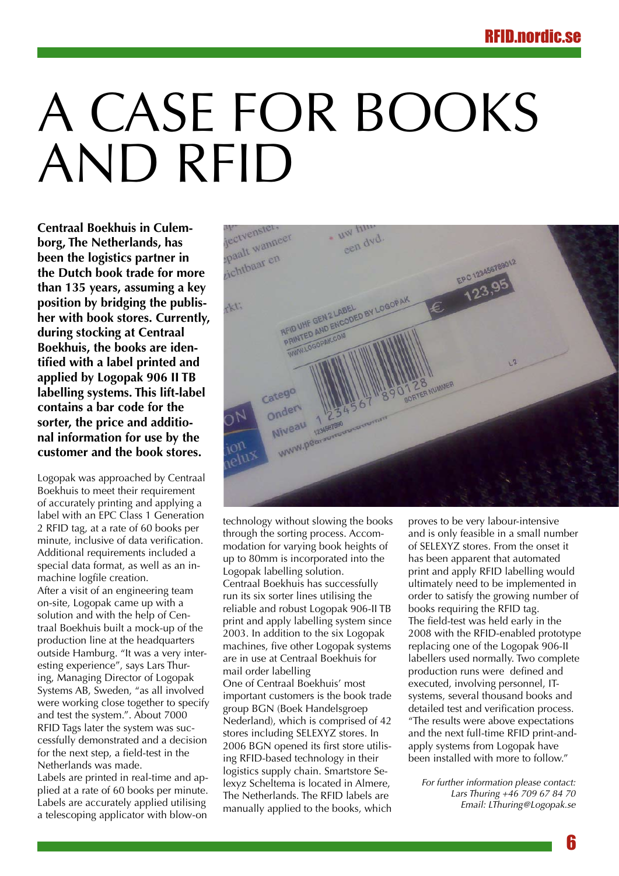# <span id="page-5-0"></span>A CASE FOR BOOKS and RFID

**Centraal Boekhuis in Culemborg, The Netherlands, has been the logistics partner in the Dutch book trade for more than 135 years, assuming a key position by bridging the publisher with book stores. Currently, during stocking at Centraal Boekhuis, the books are identified with a label printed and applied by Logopak 906 II TB labelling systems. This lift-label contains a bar code for the sorter, the price and additional information for use by the customer and the book stores.**

Logopak was approached by Centraal Boekhuis to meet their requirement of accurately printing and applying a label with an EPC Class 1 Generation 2 RFID tag, at a rate of 60 books per minute, inclusive of data verification. Additional requirements included a special data format, as well as an inmachine logfile creation. After a visit of an engineering team on-site, Logopak came up with a solution and with the help of Centraal Boekhuis built a mock-up of the production line at the headquarters outside Hamburg. "It was a very interesting experience", says Lars Thuring, Managing Director of Logopak Systems AB, Sweden, "as all involved were working close together to specify and test the system.". About 7000 RFID Tags later the system was successfully demonstrated and a decision for the next step, a field-test in the Netherlands was made. Labels are printed in real-time and ap-

plied at a rate of 60 books per minute. Labels are accurately applied utilising a telescoping applicator with blow-on

![](_page_5_Picture_5.jpeg)

technology without slowing the books through the sorting process. Accommodation for varying book heights of up to 80mm is incorporated into the Logopak labelling solution. Centraal Boekhuis has successfully run its six sorter lines utilising the reliable and robust Logopak 906-II TB print and apply labelling system since 2003. In addition to the six Logopak machines, five other Logopak systems are in use at Centraal Boekhuis for mail order labelling One of Centraal Boekhuis' most important customers is the book trade group BGN (Boek Handelsgroep Nederland), which is comprised of 42 stores including SELEXYZ stores. In 2006 BGN opened its first store utilising RFID-based technology in their logistics supply chain. Smartstore Selexyz Scheltema is located in Almere, The Netherlands. The RFID labels are manually applied to the books, which

proves to be very labour-intensive and is only feasible in a small number of SELEXYZ stores. From the onset it has been apparent that automated print and apply RFID labelling would ultimately need to be implemented in order to satisfy the growing number of books requiring the RFID tag. The field-test was held early in the 2008 with the RFID-enabled prototype replacing one of the Logopak 906-II labellers used normally. Two complete production runs were defined and executed, involving personnel, ITsystems, several thousand books and detailed test and verification process. "The results were above expectations and the next full-time RFID print-andapply systems from Logopak have been installed with more to follow."

*For further information please contact: Lars Thuring +46 709 67 84 70 Email: LThuring@Logopak.se*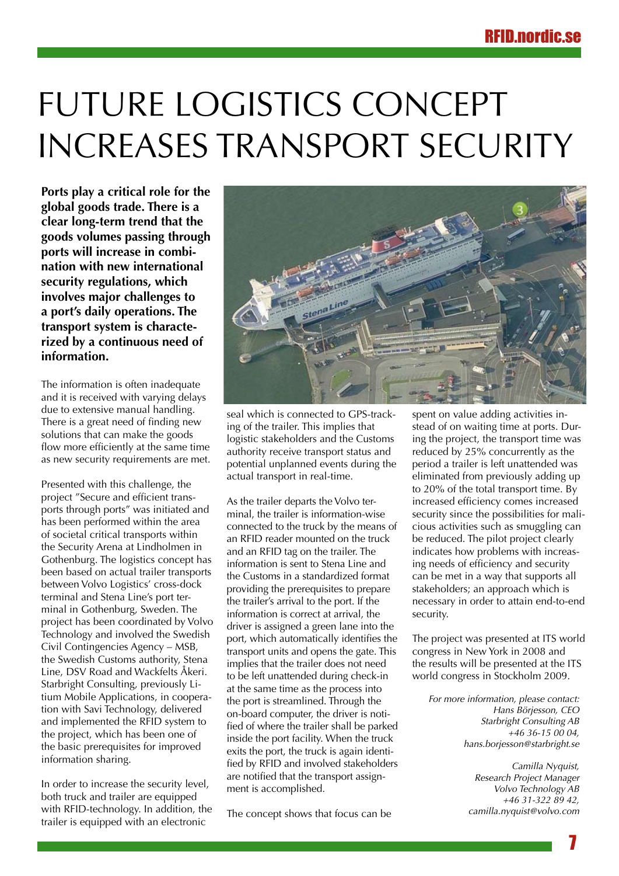# <span id="page-6-0"></span>FUTURE LOGISTICS CONCEPT increases transport security

**Ports play a critical role for the global goods trade. There is a clear long-term trend that the goods volumes passing through ports will increase in combination with new international security regulations, which involves major challenges to a port's daily operations. The transport system is characterized by a continuous need of information.** 

The information is often inadequate and it is received with varying delays due to extensive manual handling. There is a great need of finding new solutions that can make the goods flow more efficiently at the same time as new security requirements are met.

Presented with this challenge, the project "Secure and efficient transports through ports" was initiated and has been performed within the area of societal critical transports within the Security Arena at Lindholmen in Gothenburg. The logistics concept has been based on actual trailer transports between Volvo Logistics' cross-dock terminal and Stena Line's port terminal in Gothenburg, Sweden. The project has been coordinated by Volvo Technology and involved the Swedish Civil Contingencies Agency – MSB, the Swedish Customs authority, Stena Line, DSV Road and Wackfelts Åkeri. Starbright Consulting, previously Litium Mobile Applications, in cooperation with Savi Technology, delivered and implemented the RFID system to the project, which has been one of the basic prerequisites for improved information sharing.

In order to increase the security level, both truck and trailer are equipped with RFID-technology. In addition, the trailer is equipped with an electronic

![](_page_6_Picture_6.jpeg)

seal which is connected to GPS-tracking of the trailer. This implies that logistic stakeholders and the Customs authority receive transport status and potential unplanned events during the actual transport in real-time.

As the trailer departs the Volvo terminal, the trailer is information-wise connected to the truck by the means of an RFID reader mounted on the truck and an RFID tag on the trailer. The information is sent to Stena Line and the Customs in a standardized format providing the prerequisites to prepare the trailer's arrival to the port. If the information is correct at arrival, the driver is assigned a green lane into the port, which automatically identifies the transport units and opens the gate. This implies that the trailer does not need to be left unattended during check-in at the same time as the process into the port is streamlined. Through the on-board computer, the driver is notified of where the trailer shall be parked inside the port facility. When the truck exits the port, the truck is again identified by RFID and involved stakeholders are notified that the transport assignment is accomplished.

The concept shows that focus can be

spent on value adding activities instead of on waiting time at ports. During the project, the transport time was reduced by 25% concurrently as the period a trailer is left unattended was eliminated from previously adding up to 20% of the total transport time. By increased efficiency comes increased security since the possibilities for malicious activities such as smuggling can be reduced. The pilot project clearly indicates how problems with increasing needs of efficiency and security can be met in a way that supports all stakeholders; an approach which is necessary in order to attain end-to-end security.

The project was presented at ITS world congress in New York in 2008 and the results will be presented at the ITS world congress in Stockholm 2009.

*For more information, please contact: Hans Börjesson, CEO Starbright Consulting AB +46 36-15 00 04, hans.borjesson@starbright.se* 

> *Camilla Nyquist, Research Project Manager Volvo Technology AB +46 31-322 89 42, camilla.nyquist@volvo.com*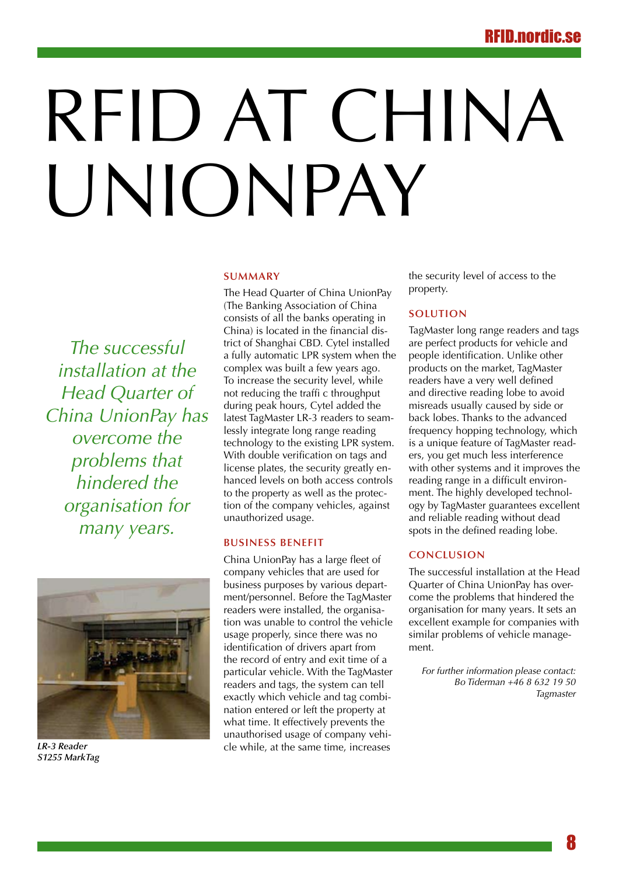# <span id="page-7-0"></span>RFID AT CHINA UNIONPAY

#### **Summary**

*The successful installation at the Head Quarter of China UnionPay has overcome the problems that hindered the organisation for many years.*

![](_page_7_Picture_4.jpeg)

*LR-3 Reader S1255 MarkTag*

The Head Quarter of China UnionPay (The Banking Association of China consists of all the banks operating in China) is located in the financial district of Shanghai CBD. Cytel installed a fully automatic LPR system when the complex was built a few years ago. To increase the security level, while not reducing the traffi c throughput during peak hours, Cytel added the latest TagMaster LR-3 readers to seamlessly integrate long range reading technology to the existing LPR system. With double verification on tags and license plates, the security greatly enhanced levels on both access controls to the property as well as the protection of the company vehicles, against unauthorized usage.

### **Business Benefit**

China UnionPay has a large fleet of company vehicles that are used for business purposes by various department/personnel. Before the TagMaster readers were installed, the organisation was unable to control the vehicle usage properly, since there was no identification of drivers apart from the record of entry and exit time of a particular vehicle. With the TagMaster readers and tags, the system can tell exactly which vehicle and tag combination entered or left the property at what time. It effectively prevents the unauthorised usage of company vehicle while, at the same time, increases

the security level of access to the property.

### **Solution**

TagMaster long range readers and tags are perfect products for vehicle and people identification. Unlike other products on the market, TagMaster readers have a very well defined and directive reading lobe to avoid misreads usually caused by side or back lobes. Thanks to the advanced frequency hopping technology, which is a unique feature of TagMaster readers, you get much less interference with other systems and it improves the reading range in a difficult environment. The highly developed technology by TagMaster guarantees excellent and reliable reading without dead spots in the defined reading lobe.

### **Conclusion**

The successful installation at the Head Quarter of China UnionPay has overcome the problems that hindered the organisation for many years. It sets an excellent example for companies with similar problems of vehicle management.

*For further information please contact: Bo Tiderman +46 8 632 19 50 Tagmaster*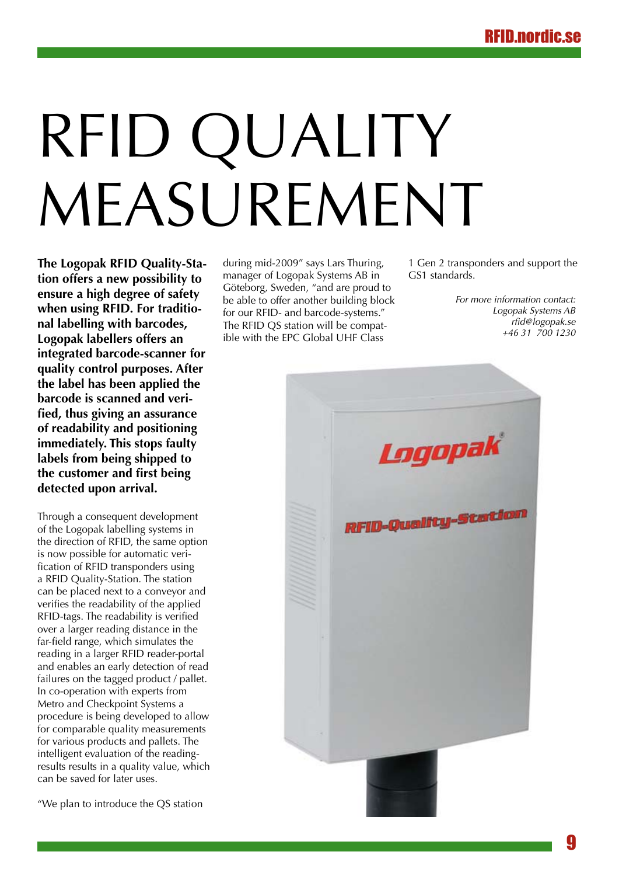# <span id="page-8-0"></span>RFID QUALITY MEASUREMENT

**The Logopak RFID Quality-Station offers a new possibility to ensure a high degree of safety when using RFID. For traditional labelling with barcodes, Logopak labellers offers an integrated barcode-scanner for quality control purposes. After the label has been applied the barcode is scanned and verified, thus giving an assurance of readability and positioning immediately. This stops faulty labels from being shipped to the customer and first being detected upon arrival.**

Through a consequent development of the Logopak labelling systems in the direction of RFID, the same option is now possible for automatic verification of RFID transponders using a RFID Quality-Station. The station can be placed next to a conveyor and verifies the readability of the applied RFID-tags. The readability is verified over a larger reading distance in the far-field range, which simulates the reading in a larger RFID reader-portal and enables an early detection of read failures on the tagged product / pallet. In co-operation with experts from Metro and Checkpoint Systems a procedure is being developed to allow for comparable quality measurements for various products and pallets. The intelligent evaluation of the readingresults results in a quality value, which can be saved for later uses.

"We plan to introduce the QS station

during mid-2009" says Lars Thuring, manager of Logopak Systems AB in Göteborg, Sweden, "and are proud to be able to offer another building block for our RFID- and barcode-systems." The RFID QS station will be compatible with the EPC Global UHF Class

1 Gen 2 transponders and support the GS1 standards.

> *For more information contact: Logopak Systems AB rfid@logopak.se +46 31 700 1230*

![](_page_8_Picture_8.jpeg)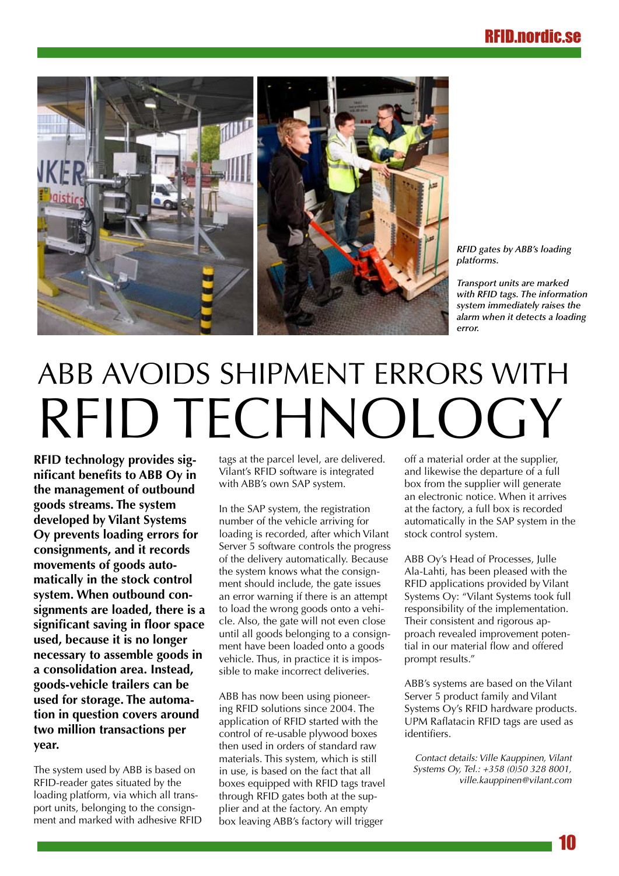<span id="page-9-0"></span>![](_page_9_Picture_1.jpeg)

*RFID gates by ABB's loading platforms.*

*Transport units are marked with RFID tags. The information system immediately raises the alarm when it detects a loading error.*

# ABB AVOIDS SHIPMENT ERRORS WITH RFID TECHNOLOGY

**RFID technology provides significant benefits to ABB Oy in the management of outbound goods streams. The system developed by Vilant Systems Oy prevents loading errors for consignments, and it records movements of goods automatically in the stock control system. When outbound consignments are loaded, there is a significant saving in floor space used, because it is no longer necessary to assemble goods in a consolidation area. Instead, goods-vehicle trailers can be used for storage. The automation in question covers around two million transactions per year.** 

The system used by ABB is based on RFID-reader gates situated by the loading platform, via which all transport units, belonging to the consignment and marked with adhesive RFID tags at the parcel level, are delivered. Vilant's RFID software is integrated with ABB's own SAP system.

In the SAP system, the registration number of the vehicle arriving for loading is recorded, after which Vilant Server 5 software controls the progress of the delivery automatically. Because the system knows what the consignment should include, the gate issues an error warning if there is an attempt to load the wrong goods onto a vehicle. Also, the gate will not even close until all goods belonging to a consignment have been loaded onto a goods vehicle. Thus, in practice it is impossible to make incorrect deliveries.

ABB has now been using pioneering RFID solutions since 2004. The application of RFID started with the control of re-usable plywood boxes then used in orders of standard raw materials. This system, which is still in use, is based on the fact that all boxes equipped with RFID tags travel through RFID gates both at the supplier and at the factory. An empty box leaving ABB's factory will trigger

off a material order at the supplier, and likewise the departure of a full box from the supplier will generate an electronic notice. When it arrives at the factory, a full box is recorded automatically in the SAP system in the stock control system.

ABB Oy's Head of Processes, Julle Ala-Lahti, has been pleased with the RFID applications provided by Vilant Systems Oy: "Vilant Systems took full responsibility of the implementation. Their consistent and rigorous approach revealed improvement potential in our material flow and offered prompt results."

ABB's systems are based on the Vilant Server 5 product family and Vilant Systems Oy's RFID hardware products. UPM Raflatacin RFID tags are used as identifiers.

*Contact details: Ville Kauppinen, Vilant Systems Oy, Tel.: +358 (0)50 328 8001, ville.kauppinen@vilant.com*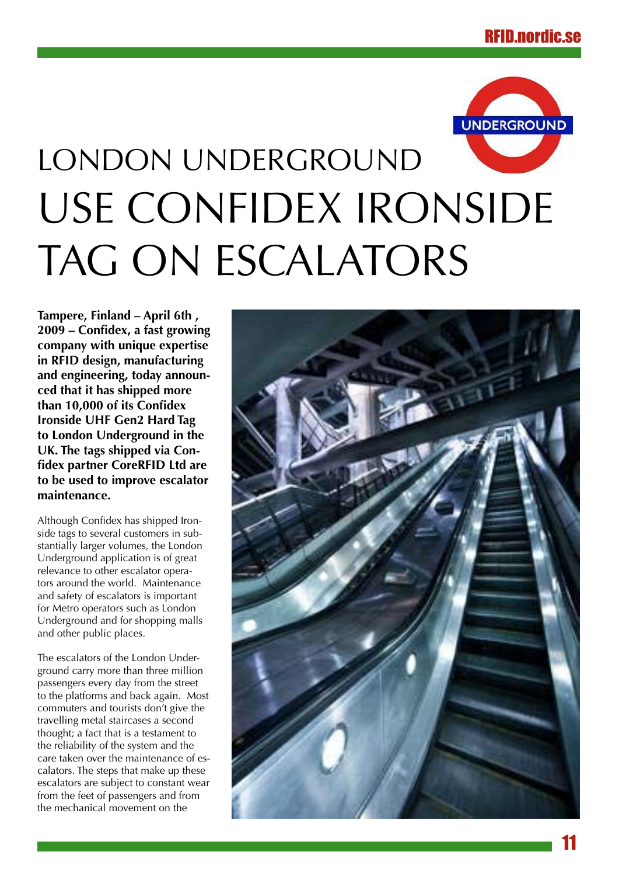![](_page_10_Picture_1.jpeg)

# <span id="page-10-0"></span>LONDON UNDERGROUND use Confidex Ironside TAG ON ESCALATORS

**Tampere, Finland – April 6th , 2009 – Confidex, a fast growing company with unique expertise in RFID design, manufacturing and engineering, today announced that it has shipped more than 10,000 of its Confidex Ironside UHF Gen2 Hard Tag to London Underground in the UK. The tags shipped via Confidex partner CoreRFID Ltd are to be used to improve escalator maintenance.**

Although Confidex has shipped Ironside tags to several customers in substantially larger volumes, the London Underground application is of great relevance to other escalator operators around the world. Maintenance and safety of escalators is important for Metro operators such as London Underground and for shopping malls and other public places.

The escalators of the London Underground carry more than three million passengers every day from the street to the platforms and back again. Most commuters and tourists don't give the travelling metal staircases a second thought; a fact that is a testament to the reliability of the system and the care taken over the maintenance of escalators. The steps that make up these escalators are subject to constant wear from the feet of passengers and from the mechanical movement on the

![](_page_10_Picture_6.jpeg)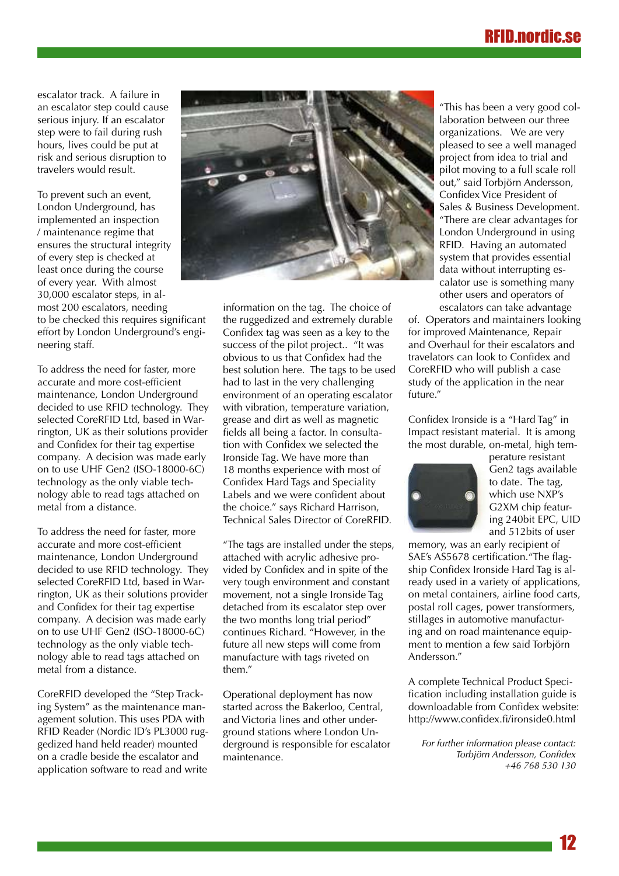# RFID.nordi

escalator track. A failure in an escalator step could cause serious injury. If an escalator step were to fail during rush hours, lives could be put at risk and serious disruption to travelers would result.

To prevent such an event, London Underground, has implemented an inspection / maintenance regime that ensures the structural integrity of every step is checked at least once during the course of every year. With almost 30,000 escalator steps, in almost 200 escalators, needing to be checked this requires significant effort by London Underground's engineering staff.

To address the need for faster, more accurate and more cost-efficient maintenance, London Underground decided to use RFID technology. They selected CoreRFID Ltd, based in Warrington, UK as their solutions provider and Confidex for their tag expertise company. A decision was made early on to use UHF Gen2 (ISO-18000-6C) technology as the only viable technology able to read tags attached on metal from a distance.

To address the need for faster, more accurate and more cost-efficient maintenance, London Underground decided to use RFID technology. They selected CoreRFID Ltd, based in Warrington, UK as their solutions provider and Confidex for their tag expertise company. A decision was made early on to use UHF Gen2 (ISO-18000-6C) technology as the only viable technology able to read tags attached on metal from a distance.

CoreRFID developed the "Step Tracking System" as the maintenance management solution. This uses PDA with RFID Reader (Nordic ID's PL3000 ruggedized hand held reader) mounted on a cradle beside the escalator and application software to read and write

![](_page_11_Picture_6.jpeg)

information on the tag. The choice of the ruggedized and extremely durable Confidex tag was seen as a key to the success of the pilot project.. "It was obvious to us that Confidex had the best solution here. The tags to be used had to last in the very challenging environment of an operating escalator with vibration, temperature variation, grease and dirt as well as magnetic fields all being a factor. In consultation with Confidex we selected the Ironside Tag. We have more than 18 months experience with most of Confidex Hard Tags and Speciality Labels and we were confident about the choice." says Richard Harrison, Technical Sales Director of CoreRFID.

"The tags are installed under the steps, attached with acrylic adhesive provided by Confidex and in spite of the very tough environment and constant movement, not a single Ironside Tag detached from its escalator step over the two months long trial period" continues Richard. "However, in the future all new steps will come from manufacture with tags riveted on them."

Operational deployment has now started across the Bakerloo, Central, and Victoria lines and other underground stations where London Underground is responsible for escalator maintenance.

"This has been a very good collaboration between our three organizations. We are very pleased to see a well managed project from idea to trial and pilot moving to a full scale roll out," said Torbjörn Andersson, Confidex Vice President of Sales & Business Development. "There are clear advantages for London Underground in using RFID. Having an automated system that provides essential data without interrupting escalator use is something many other users and operators of escalators can take advantage

of. Operators and maintainers looking for improved Maintenance, Repair and Overhaul for their escalators and travelators can look to Confidex and CoreRFID who will publish a case study of the application in the near future."

Confidex Ironside is a "Hard Tag" in Impact resistant material. It is among the most durable, on-metal, high tem-

![](_page_11_Picture_13.jpeg)

perature resistant Gen2 tags available to date. The tag, which use NXP's G2XM chip featuring 240bit EPC, UID and 512bits of user

memory, was an early recipient of SAE's AS5678 certification."The flagship Confidex Ironside Hard Tag is already used in a variety of applications, on metal containers, airline food carts, postal roll cages, power transformers, stillages in automotive manufacturing and on road maintenance equipment to mention a few said Torbjörn Andersson."

A complete Technical Product Specification including installation guide is downloadable from Confidex website: http://www.confidex.fi/ironside0.html

*For further information please contact: Torbjörn Andersson, Confidex +46 768 530 130*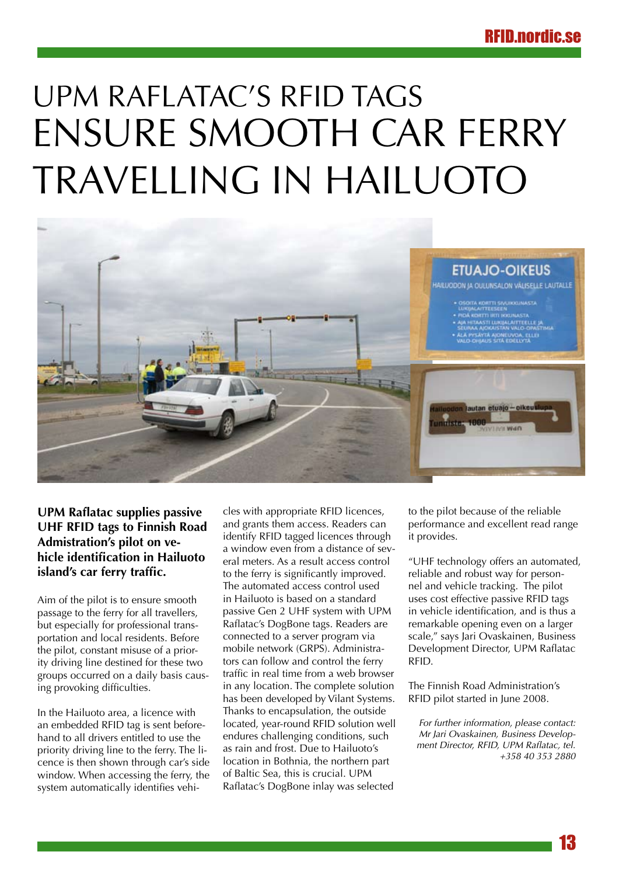# <span id="page-12-0"></span>UPM Raflatac's RFID tags ensure smooth car ferry travelling in Hailuoto

![](_page_12_Picture_2.jpeg)

# **UPM Raflatac supplies passive UHF RFID tags to Finnish Road Admistration's pilot on vehicle identification in Hailuoto island's car ferry traffic.**

Aim of the pilot is to ensure smooth passage to the ferry for all travellers, but especially for professional transportation and local residents. Before the pilot, constant misuse of a priority driving line destined for these two groups occurred on a daily basis causing provoking difficulties.

In the Hailuoto area, a licence with an embedded RFID tag is sent beforehand to all drivers entitled to use the priority driving line to the ferry. The licence is then shown through car's side window. When accessing the ferry, the system automatically identifies vehicles with appropriate RFID licences, and grants them access. Readers can identify RFID tagged licences through a window even from a distance of several meters. As a result access control to the ferry is significantly improved. The automated access control used in Hailuoto is based on a standard passive Gen 2 UHF system with UPM Raflatac's DogBone tags. Readers are connected to a server program via mobile network (GRPS). Administrators can follow and control the ferry traffic in real time from a web browser in any location. The complete solution has been developed by Vilant Systems. Thanks to encapsulation, the outside located, year-round RFID solution well endures challenging conditions, such as rain and frost. Due to Hailuoto's location in Bothnia, the northern part of Baltic Sea, this is crucial. UPM Raflatac's DogBone inlay was selected

to the pilot because of the reliable performance and excellent read range it provides.

"UHF technology offers an automated, reliable and robust way for personnel and vehicle tracking. The pilot uses cost effective passive RFID tags in vehicle identification, and is thus a remarkable opening even on a larger scale," says Jari Ovaskainen, Business Development Director, UPM Raflatac RFID.

The Finnish Road Administration's RFID pilot started in June 2008.

*For further information, please contact: Mr Jari Ovaskainen, Business Development Director, RFID, UPM Raflatac, tel. +358 40 353 2880*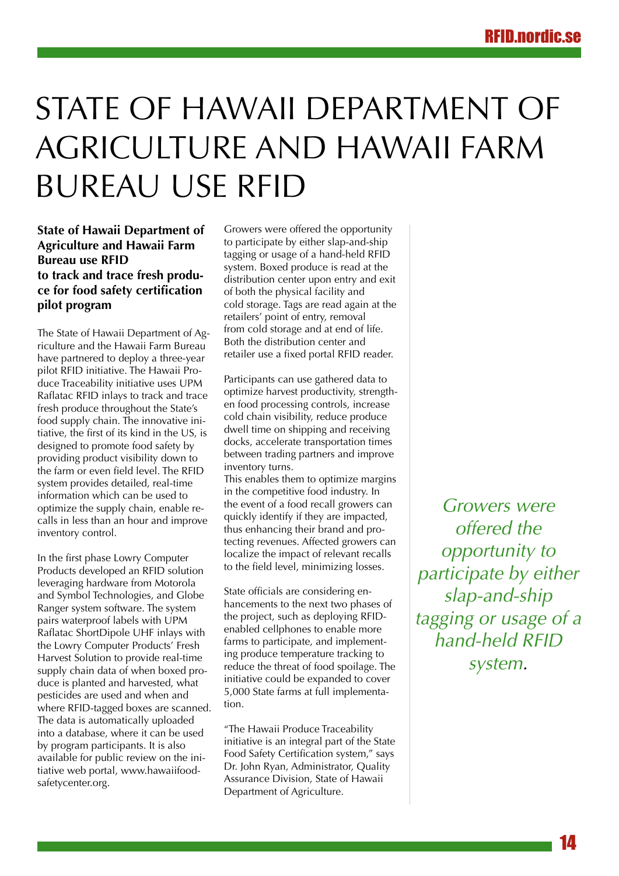# <span id="page-13-0"></span>State of Hawaii Department of Agriculture and Hawaii Farm Bureau use RFID

# **State of Hawaii Department of Agriculture and Hawaii Farm Bureau use RFID to track and trace fresh produce for food safety certification pilot program**

The State of Hawaii Department of Agriculture and the Hawaii Farm Bureau have partnered to deploy a three-year pilot RFID initiative. The Hawaii Produce Traceability initiative uses UPM Raflatac RFID inlays to track and trace fresh produce throughout the State's food supply chain. The innovative initiative, the first of its kind in the US, is designed to promote food safety by providing product visibility down to the farm or even field level. The RFID system provides detailed, real-time information which can be used to optimize the supply chain, enable recalls in less than an hour and improve inventory control.

In the first phase Lowry Computer Products developed an RFID solution leveraging hardware from Motorola and Symbol Technologies, and Globe Ranger system software. The system pairs waterproof labels with UPM Raflatac ShortDipole UHF inlays with the Lowry Computer Products' Fresh Harvest Solution to provide real-time supply chain data of when boxed produce is planted and harvested, what pesticides are used and when and where RFID-tagged boxes are scanned. The data is automatically uploaded into a database, where it can be used by program participants. It is also available for public review on the initiative web portal, www.hawaiifoodsafetycenter.org.

Growers were offered the opportunity to participate by either slap-and-ship tagging or usage of a hand-held RFID system. Boxed produce is read at the distribution center upon entry and exit of both the physical facility and cold storage. Tags are read again at the retailers' point of entry, removal from cold storage and at end of life. Both the distribution center and retailer use a fixed portal RFID reader.

Participants can use gathered data to optimize harvest productivity, strengthen food processing controls, increase cold chain visibility, reduce produce dwell time on shipping and receiving docks, accelerate transportation times between trading partners and improve inventory turns.

This enables them to optimize margins in the competitive food industry. In the event of a food recall growers can quickly identify if they are impacted, thus enhancing their brand and protecting revenues. Affected growers can localize the impact of relevant recalls to the field level, minimizing losses.

State officials are considering enhancements to the next two phases of the project, such as deploying RFIDenabled cellphones to enable more farms to participate, and implementing produce temperature tracking to reduce the threat of food spoilage. The initiative could be expanded to cover 5,000 State farms at full implementation.

"The Hawaii Produce Traceability initiative is an integral part of the State Food Safety Certification system," says Dr. John Ryan, Administrator, Quality Assurance Division, State of Hawaii Department of Agriculture.

*Growers were offered the opportunity to participate by either slap-and-ship tagging or usage of a hand-held RFID system.*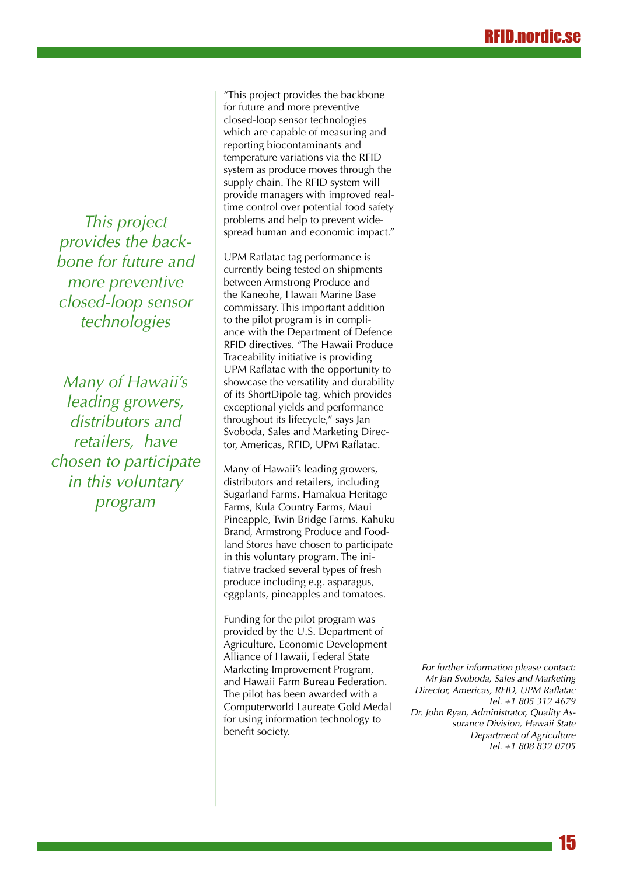*This project provides the backbone for future and more preventive closed-loop sensor technologies*

*Many of Hawaii's leading growers, distributors and retailers, have chosen to participate in this voluntary program*

"This project provides the backbone for future and more preventive closed-loop sensor technologies which are capable of measuring and reporting biocontaminants and temperature variations via the RFID system as produce moves through the supply chain. The RFID system will provide managers with improved realtime control over potential food safety problems and help to prevent widespread human and economic impact."

UPM Raflatac tag performance is currently being tested on shipments between Armstrong Produce and the Kaneohe, Hawaii Marine Base commissary. This important addition to the pilot program is in compliance with the Department of Defence RFID directives. "The Hawaii Produce Traceability initiative is providing UPM Raflatac with the opportunity to showcase the versatility and durability of its ShortDipole tag, which provides exceptional yields and performance throughout its lifecycle," says Jan Svoboda, Sales and Marketing Director, Americas, RFID, UPM Raflatac.

Many of Hawaii's leading growers, distributors and retailers, including Sugarland Farms, Hamakua Heritage Farms, Kula Country Farms, Maui Pineapple, Twin Bridge Farms, Kahuku Brand, Armstrong Produce and Foodland Stores have chosen to participate in this voluntary program. The initiative tracked several types of fresh produce including e.g. asparagus, eggplants, pineapples and tomatoes.

Funding for the pilot program was provided by the U.S. Department of Agriculture, Economic Development Alliance of Hawaii, Federal State Marketing Improvement Program, and Hawaii Farm Bureau Federation. The pilot has been awarded with a Computerworld Laureate Gold Medal for using information technology to benefit society.

*For further information please contact: Mr Jan Svoboda, Sales and Marketing Director, Americas, RFID, UPM Raflatac Tel. +1 805 312 4679 Dr. John Ryan, Administrator, Quality Assurance Division, Hawaii State Department of Agriculture Tel. +1 808 832 0705*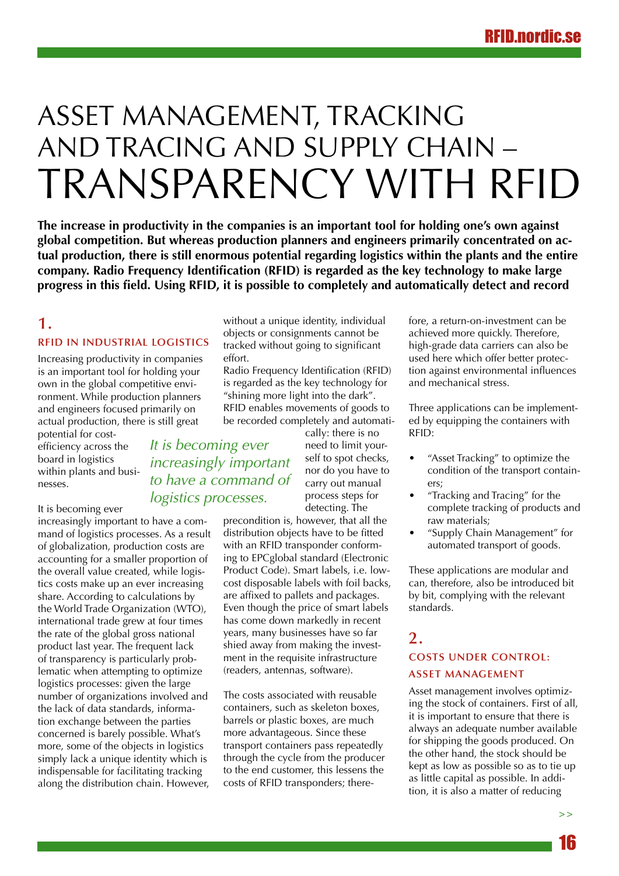# <span id="page-15-0"></span>Asset Management, Tracking and Tracing and Supply Chain – Transparency with RFID

**The increase in productivity in the companies is an important tool for holding one's own against global competition. But whereas production planners and engineers primarily concentrated on actual production, there is still enormous potential regarding logistics within the plants and the entire company. Radio Frequency Identification (RFID) is regarded as the key technology to make large progress in this field. Using RFID, it is possible to completely and automatically detect and record** 

## **1. RFID in industrial logistics**

Increasing productivity in companies is an important tool for holding your own in the global competitive environment. While production planners and engineers focused primarily on actual production, there is still great

potential for costefficiency across the board in logistics within plants and businesses.

It is becoming ever

increasingly important to have a command of logistics processes. As a result of globalization, production costs are accounting for a smaller proportion of the overall value created, while logistics costs make up an ever increasing share. According to calculations by the World Trade Organization (WTO), international trade grew at four times the rate of the global gross national product last year. The frequent lack of transparency is particularly problematic when attempting to optimize logistics processes: given the large number of organizations involved and the lack of data standards, information exchange between the parties concerned is barely possible. What's more, some of the objects in logistics simply lack a unique identity which is indispensable for facilitating tracking along the distribution chain. However,

without a unique identity, individual objects or consignments cannot be tracked without going to significant effort.

Radio Frequency Identification (RFID) is regarded as the key technology for "shining more light into the dark". RFID enables movements of goods to be recorded completely and automatically: there is no

*It is becoming ever increasingly important to have a command of logistics processes.*

need to limit yourself to spot checks, nor do you have to carry out manual process steps for detecting. The

precondition is, however, that all the distribution objects have to be fitted with an RFID transponder conforming to EPCglobal standard (Electronic Product Code). Smart labels, i.e. lowcost disposable labels with foil backs, are affixed to pallets and packages. Even though the price of smart labels has come down markedly in recent years, many businesses have so far shied away from making the investment in the requisite infrastructure (readers, antennas, software).

The costs associated with reusable containers, such as skeleton boxes, barrels or plastic boxes, are much more advantageous. Since these transport containers pass repeatedly through the cycle from the producer to the end customer, this lessens the costs of RFID transponders; therefore, a return-on-investment can be achieved more quickly. Therefore, high-grade data carriers can also be used here which offer better protection against environmental influences and mechanical stress.

Three applications can be implemented by equipping the containers with RFID:

- "Asset Tracking" to optimize the condition of the transport containers;
- "Tracking and Tracing" for the complete tracking of products and raw materials;
- • "Supply Chain Management" for automated transport of goods.

These applications are modular and can, therefore, also be introduced bit by bit, complying with the relevant standards.

# **2.**

## **Costs under control: asset management**

Asset management involves optimizing the stock of containers. First of all, it is important to ensure that there is always an adequate number available for shipping the goods produced. On the other hand, the stock should be kept as low as possible so as to tie up as little capital as possible. In addition, it is also a matter of reducing

**>>**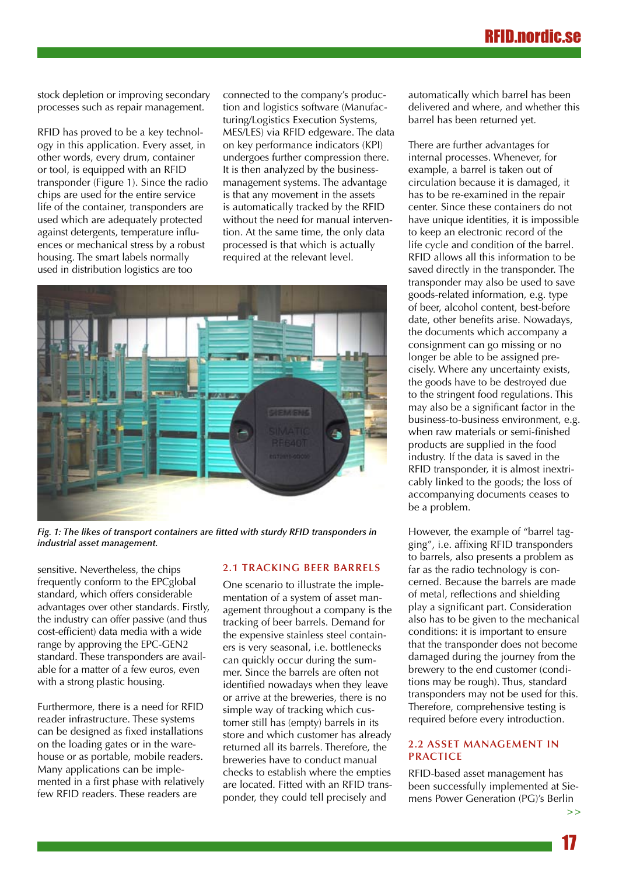stock depletion or improving secondary processes such as repair management.

RFID has proved to be a key technology in this application. Every asset, in other words, every drum, container or tool, is equipped with an RFID transponder (Figure 1). Since the radio chips are used for the entire service life of the container, transponders are used which are adequately protected against detergents, temperature influences or mechanical stress by a robust housing. The smart labels normally used in distribution logistics are too

connected to the company's production and logistics software (Manufacturing/Logistics Execution Systems, MES/LES) via RFID edgeware. The data on key performance indicators (KPI) undergoes further compression there. It is then analyzed by the businessmanagement systems. The advantage is that any movement in the assets is automatically tracked by the RFID without the need for manual intervention. At the same time, the only data processed is that which is actually required at the relevant level.

![](_page_16_Picture_4.jpeg)

*Fig. 1: The likes of transport containers are fitted with sturdy RFID transponders in industrial asset management.*

sensitive. Nevertheless, the chips frequently conform to the EPCglobal standard, which offers considerable advantages over other standards. Firstly, the industry can offer passive (and thus cost-efficient) data media with a wide range by approving the EPC-GEN2 standard. These transponders are available for a matter of a few euros, even with a strong plastic housing.

Furthermore, there is a need for RFID reader infrastructure. These systems can be designed as fixed installations on the loading gates or in the warehouse or as portable, mobile readers. Many applications can be implemented in a first phase with relatively few RFID readers. These readers are

#### **2.1 Tracking beer barrels**

One scenario to illustrate the implementation of a system of asset management throughout a company is the tracking of beer barrels. Demand for the expensive stainless steel containers is very seasonal, i.e. bottlenecks can quickly occur during the summer. Since the barrels are often not identified nowadays when they leave or arrive at the breweries, there is no simple way of tracking which customer still has (empty) barrels in its store and which customer has already returned all its barrels. Therefore, the breweries have to conduct manual checks to establish where the empties are located. Fitted with an RFID transponder, they could tell precisely and

automatically which barrel has been delivered and where, and whether this barrel has been returned yet.

There are further advantages for internal processes. Whenever, for example, a barrel is taken out of circulation because it is damaged, it has to be re-examined in the repair center. Since these containers do not have unique identities, it is impossible to keep an electronic record of the life cycle and condition of the barrel. RFID allows all this information to be saved directly in the transponder. The transponder may also be used to save goods-related information, e.g. type of beer, alcohol content, best-before date, other benefits arise. Nowadays, the documents which accompany a consignment can go missing or no longer be able to be assigned precisely. Where any uncertainty exists, the goods have to be destroyed due to the stringent food regulations. This may also be a significant factor in the business-to-business environment, e.g. when raw materials or semi-finished products are supplied in the food industry. If the data is saved in the RFID transponder, it is almost inextricably linked to the goods; the loss of accompanying documents ceases to be a problem.

However, the example of "barrel tagging", i.e. affixing RFID transponders to barrels, also presents a problem as far as the radio technology is concerned. Because the barrels are made of metal, reflections and shielding play a significant part. Consideration also has to be given to the mechanical conditions: it is important to ensure that the transponder does not become damaged during the journey from the brewery to the end customer (conditions may be rough). Thus, standard transponders may not be used for this. Therefore, comprehensive testing is required before every introduction.

### **2.2 Asset management in practice**

RFID-based asset management has been successfully implemented at Siemens Power Generation (PG)'s Berlin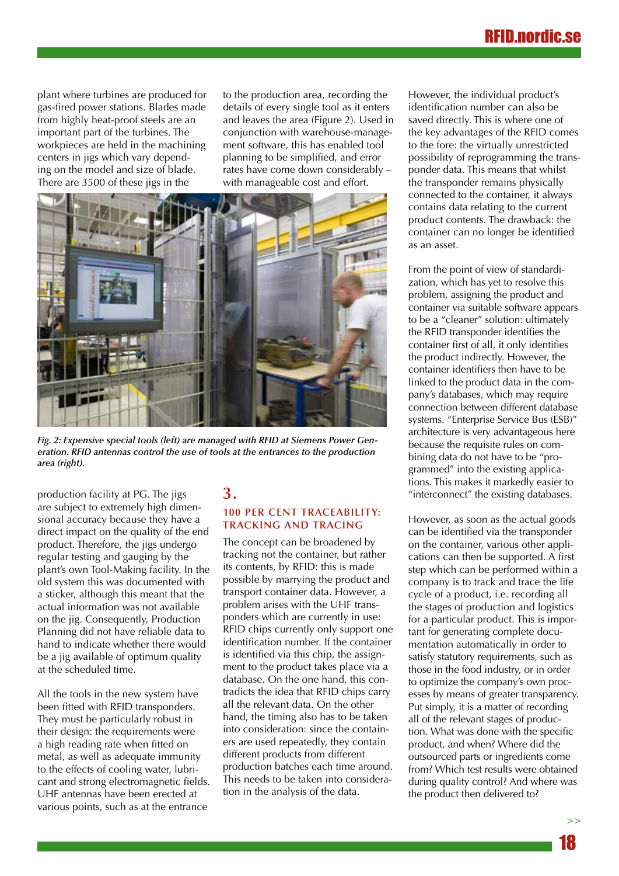# RFID.nordic.

plant where turbines are produced for gas-fired power stations. Blades made from highly heat-proof steels are an important part of the turbines. The workpieces are held in the machining centers in jigs which vary depending on the model and size of blade. There are 3500 of these jigs in the

to the production area, recording the details of every single tool as it enters and leaves the area (Figure 2). Used in conjunction with warehouse-management software, this has enabled tool planning to be simplified, and error rates have come down considerably – with manageable cost and effort.

![](_page_17_Picture_3.jpeg)

*Fig. 2: Expensive special tools (left) are managed with RFID at Siemens Power Generation. RFID antennas control the use of tools at the entrances to the production area (right).* 

production facility at PG. The jigs are subject to extremely high dimensional accuracy because they have a direct impact on the quality of the end product. Therefore, the jigs undergo regular testing and gauging by the plant's own Tool-Making facility. In the old system this was documented with a sticker, although this meant that the actual information was not available on the jig. Consequently, Production Planning did not have reliable data to hand to indicate whether there would be a jig available of optimum quality at the scheduled time.

All the tools in the new system have been fitted with RFID transponders. They must be particularly robust in their design: the requirements were a high reading rate when fitted on metal, as well as adequate immunity to the effects of cooling water, lubricant and strong electromagnetic fields. UHF antennas have been erected at various points, such as at the entrance

# **3.**

### **100 per cent traceability: Tracking and Tracing**

The concept can be broadened by tracking not the container, but rather its contents, by RFID: this is made possible by marrying the product and transport container data. However, a problem arises with the UHF transponders which are currently in use: RFID chips currently only support one identification number. If the container is identified via this chip, the assignment to the product takes place via a database. On the one hand, this contradicts the idea that RFID chips carry all the relevant data. On the other hand, the timing also has to be taken into consideration: since the containers are used repeatedly, they contain different products from different production batches each time around. This needs to be taken into consideration in the analysis of the data.

However, the individual product's identification number can also be saved directly. This is where one of the key advantages of the RFID comes to the fore: the virtually unrestricted possibility of reprogramming the transponder data. This means that whilst the transponder remains physically connected to the container, it always contains data relating to the current product contents. The drawback: the container can no longer be identified as an asset.

From the point of view of standardization, which has yet to resolve this problem, assigning the product and container via suitable software appears to be a "cleaner" solution: ultimately the RFID transponder identifies the container first of all, it only identifies the product indirectly. However, the container identifiers then have to be linked to the product data in the company's databases, which may require connection between different database systems. "Enterprise Service Bus (ESB)" architecture is very advantageous here because the requisite rules on combining data do not have to be "programmed" into the existing applications. This makes it markedly easier to "interconnect" the existing databases.

However, as soon as the actual goods can be identified via the transponder on the container, various other applications can then be supported. A first step which can be performed within a company is to track and trace the life cycle of a product, i.e. recording all the stages of production and logistics for a particular product. This is important for generating complete documentation automatically in order to satisfy statutory requirements, such as those in the food industry, or in order to optimize the company's own processes by means of greater transparency. Put simply, it is a matter of recording all of the relevant stages of production. What was done with the specific product, and when? Where did the outsourced parts or ingredients come from? Which test results were obtained during quality control? And where was the product then delivered to?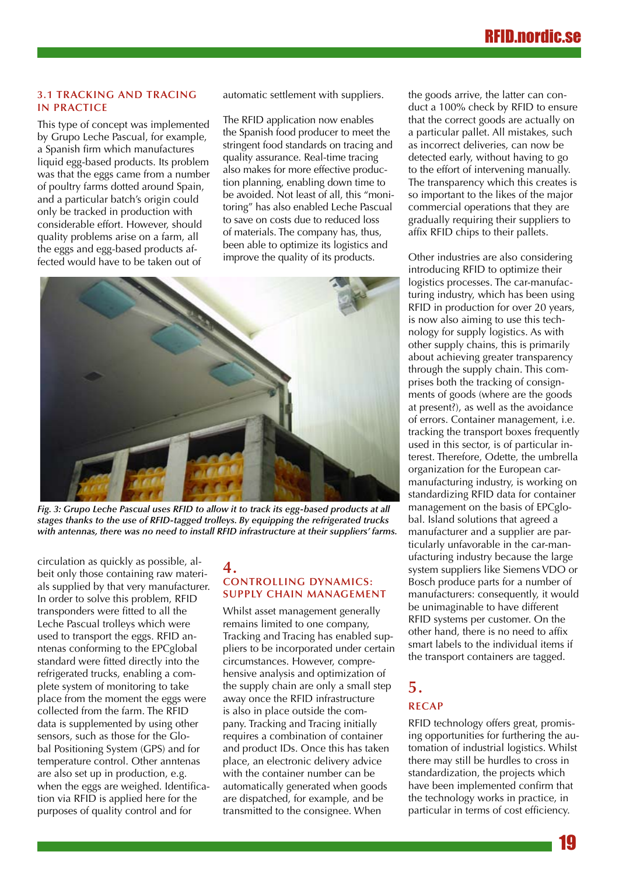#### **3.1 Tracking and Tracing in practice**

This type of concept was implemented by Grupo Leche Pascual, for example, a Spanish firm which manufactures liquid egg-based products. Its problem was that the eggs came from a number of poultry farms dotted around Spain, and a particular batch's origin could only be tracked in production with considerable effort. However, should quality problems arise on a farm, all the eggs and egg-based products affected would have to be taken out of

automatic settlement with suppliers.

The RFID application now enables the Spanish food producer to meet the stringent food standards on tracing and quality assurance. Real-time tracing also makes for more effective production planning, enabling down time to be avoided. Not least of all, this "monitoring" has also enabled Leche Pascual to save on costs due to reduced loss of materials. The company has, thus, been able to optimize its logistics and improve the quality of its products.

![](_page_18_Picture_5.jpeg)

*Fig. 3: Grupo Leche Pascual uses RFID to allow it to track its egg-based products at all stages thanks to the use of RFID-tagged trolleys. By equipping the refrigerated trucks with antennas, there was no need to install RFID infrastructure at their suppliers' farms.*

circulation as quickly as possible, albeit only those containing raw materials supplied by that very manufacturer. In order to solve this problem, RFID transponders were fitted to all the Leche Pascual trolleys which were used to transport the eggs. RFID anntenas conforming to the EPCglobal standard were fitted directly into the refrigerated trucks, enabling a complete system of monitoring to take place from the moment the eggs were collected from the farm. The RFID data is supplemented by using other sensors, such as those for the Global Positioning System (GPS) and for temperature control. Other anntenas are also set up in production, e.g. when the eggs are weighed. Identification via RFID is applied here for the purposes of quality control and for

### **4. Controlling dynamics: Supply Chain Management**

Whilst asset management generally remains limited to one company, Tracking and Tracing has enabled suppliers to be incorporated under certain circumstances. However, comprehensive analysis and optimization of the supply chain are only a small step away once the RFID infrastructure is also in place outside the company. Tracking and Tracing initially requires a combination of container and product IDs. Once this has taken place, an electronic delivery advice with the container number can be automatically generated when goods are dispatched, for example, and be transmitted to the consignee. When

the goods arrive, the latter can conduct a 100% check by RFID to ensure that the correct goods are actually on a particular pallet. All mistakes, such as incorrect deliveries, can now be detected early, without having to go to the effort of intervening manually. The transparency which this creates is so important to the likes of the major commercial operations that they are gradually requiring their suppliers to affix RFID chips to their pallets.

Other industries are also considering introducing RFID to optimize their logistics processes. The car-manufacturing industry, which has been using RFID in production for over 20 years, is now also aiming to use this technology for supply logistics. As with other supply chains, this is primarily about achieving greater transparency through the supply chain. This comprises both the tracking of consignments of goods (where are the goods at present?), as well as the avoidance of errors. Container management, i.e. tracking the transport boxes frequently used in this sector, is of particular interest. Therefore, Odette, the umbrella organization for the European carmanufacturing industry, is working on standardizing RFID data for container management on the basis of EPCglobal. Island solutions that agreed a manufacturer and a supplier are particularly unfavorable in the car-manufacturing industry because the large system suppliers like Siemens VDO or Bosch produce parts for a number of manufacturers: consequently, it would be unimaginable to have different RFID systems per customer. On the other hand, there is no need to affix smart labels to the individual items if the transport containers are tagged.

# **5. Recap**

RFID technology offers great, promising opportunities for furthering the automation of industrial logistics. Whilst there may still be hurdles to cross in standardization, the projects which have been implemented confirm that the technology works in practice, in particular in terms of cost efficiency.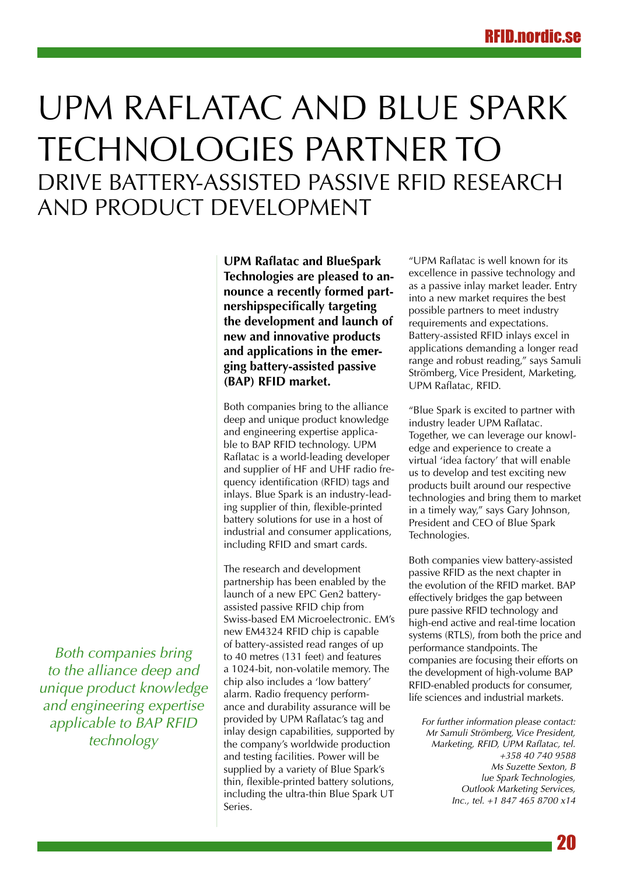# <span id="page-19-0"></span>UPM Raflatac and Blue Spark Technologies partner to drive battery-assisted passive RFID research and product development

**UPM Raflatac and BlueSpark Technologies are pleased to announce a recently formed partnershipspecifically targeting the development and launch of new and innovative products and applications in the emerging battery-assisted passive (BAP) RFID market.**

Both companies bring to the alliance deep and unique product knowledge and engineering expertise applicable to BAP RFID technology. UPM Raflatac is a world-leading developer and supplier of HF and UHF radio frequency identification (RFID) tags and inlays. Blue Spark is an industry-leading supplier of thin, flexible-printed battery solutions for use in a host of industrial and consumer applications, including RFID and smart cards.

The research and development partnership has been enabled by the launch of a new EPC Gen2 batteryassisted passive RFID chip from Swiss-based EM Microelectronic. EM's new EM4324 RFID chip is capable of battery-assisted read ranges of up to 40 metres (131 feet) and features a 1024-bit, non-volatile memory. The chip also includes a 'low battery' alarm. Radio frequency performance and durability assurance will be provided by UPM Raflatac's tag and inlay design capabilities, supported by the company's worldwide production and testing facilities. Power will be supplied by a variety of Blue Spark's thin, flexible-printed battery solutions, including the ultra-thin Blue Spark UT Series.

"UPM Raflatac is well known for its excellence in passive technology and as a passive inlay market leader. Entry into a new market requires the best possible partners to meet industry requirements and expectations. Battery-assisted RFID inlays excel in applications demanding a longer read range and robust reading," says Samuli Strömberg, Vice President, Marketing, UPM Raflatac, RFID.

"Blue Spark is excited to partner with industry leader UPM Raflatac. Together, we can leverage our knowledge and experience to create a virtual 'idea factory' that will enable us to develop and test exciting new products built around our respective technologies and bring them to market in a timely way," says Gary Johnson, President and CEO of Blue Spark Technologies.

Both companies view battery-assisted passive RFID as the next chapter in the evolution of the RFID market. BAP effectively bridges the gap between pure passive RFID technology and high-end active and real-time location systems (RTLS), from both the price and performance standpoints. The companies are focusing their efforts on the development of high-volume BAP RFID-enabled products for consumer, life sciences and industrial markets.

*For further information please contact: Mr Samuli Strömberg, Vice President, Marketing, RFID, UPM Raflatac, tel. +358 40 740 9588 Ms Suzette Sexton, B lue Spark Technologies, Outlook Marketing Services, Inc., tel. +1 847 465 8700 x14*

*Both companies bring to the alliance deep and unique product knowledge and engineering expertise applicable to BAP RFID technology*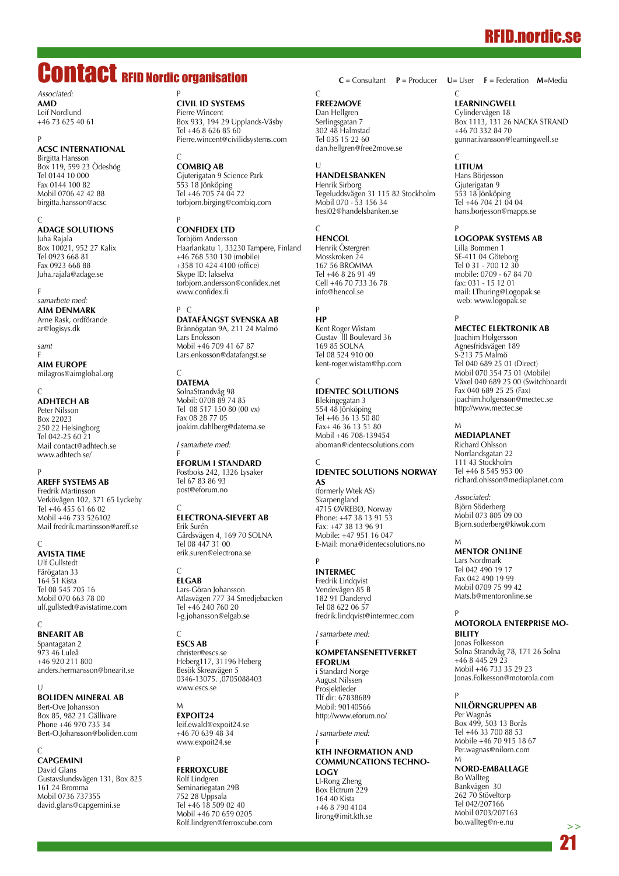# RFID.nordic.se

# <span id="page-20-0"></span>Contact RFID Nordic organisation

*Associated:* **AMD**

P

Leif Nordlund +46 73 625 40 61

### **ACSC International**

Birgitta Hansson Box 119, 599 23 Ödeshög Tel 0144 10 000 Fax 0144 100 82 Mobil 0706 42 42 88 birgitta.hansson@acsc

 $\mathcal{C}$ **ADAGE Solutions** Juha Rajala Box 10021, 952 27 Kalix Tel 0923 668 81 Fax 0923 668 88 Juha.rajala@adage.se

F *samarbete med:* **AIM Denmark** Arne Rask, ordförande ar@logisys.dk

*samt* F

**AIM Europe** milagros@aimglobal.org

#### $\sqrt{ }$

**AdhTech AB** Peter Nilsson Box 22023 250 22 Helsingborg Tel 042-25 60 21 Mail contact@adhtech.se www.adhtech.se/

#### P

**Areff Systems AB** Fredrik Martinsson Verkövägen 102, 371 65 Lyckeby Tel +46 455 61 66 02 Mobil +46 733 526102 Mail fredrik.martinsson@areff.se

#### $\sqrt{ }$

**AVISTA TIME** Ulf Gullstedt Färögatan 33 164 51 Kista Tel 08 545 705 16 Mobil 070 663 78 00 ulf.gullstedt@avistatime.com

 $\sqrt{ }$ **BnearIT AB**

Spantagatan 2 973 46 Luleå +46 920 211 800 anders.hermansson@bnearit.se

#### $\cup$ **BOLIDEN Mineral AB**

Bert-Ove Johansson Box 85, 982 21 Gällivare Phone +46 970 735 34 Bert-O.Johansson@boliden.com

#### C

**CAPGEMIN** David Glans Gustavslundsvägen 131, Box 825 161 24 Bromma Mobil 0736 737355 david.glans@capgemini.se

#### P **Civil ID Systems**

Pierre Wincent Box 933, 194 29 Upplands-Väsby Tel +46 8 626 85 60 Pierre.wincent@civilidsystems.com

#### C **CombiQ AB**

Gjuterigatan 9 Science Park 553 18 Jönköping Tel +46 705 74 04 72 torbjorn.birging@combiq.com

#### P **Confidex Ltd**

Torbjörn Andersson Haarlankatu 1, 33230 Tampere, Finland +46 768 530 130 (mobile) +358 10 424 4100 (office) Skype ID: lakselva torbjorn.andersson@confidex.net www.confidex.fi

#### P C

**DataFångst Svenska AB** Brännögatan 9A, 211 24 Malmö Lars Enoksson Mobil +46 709 41 67 87 Lars.enkosson@datafangst.se

#### $\Gamma$ **DATEMA**

F

SolnaStrandväg 98 Mobil: 0708 89 74 85 Tel 08 517 150 80 (00 vx) Fax 08 28 77 05 joakim.dahlberg@datema.se

*I samarbete med:*

#### **Eforum i Standard**

Postboks 242, 1326 Lysaker Tel 67 83 86 93 post@eforum.no

#### C **Electrona-Sievert AB**

Erik Surén Gårdsvägen 4, 169 70 SOLNA Tel 08 447 31 00 erik.suren@electrona.se

#### $\Gamma$ **ELGAB**

Lars-Göran Johansson Atlasvägen 777 34 Smedjebacken Tel +46 240 760 20 l-g.johansson@elgab.se

#### C **ESCS AB**

christer@escs.se Heberg117, 31196 Heberg Besök Skreavägen 5 0346-13075. ,0705088403 www.escs.se

#### M

**ExpoIT24** leif.ewald@expoit24.se +46 70 639 48 34 www.expoit24.se

#### P **FERROXCUBE**

Rolf Lindgren Seminariegatan 29B 752 28 Uppsala Tel +46 18 509 02 40 Mobil +46 70 659 0205 Rolf.lindgren@ferroxcube.com

## $\sqrt{ }$

**FREE2MOVE** Dan Hellgren Serlingsgatan 7 302 48 Halmstad Tel 035 15 22 60 dan.hellgren@free2move.se

#### $\cup$ **Handelsbanken**

Henrik Sirborg Tegeluddsvägen 31 115 82 Stockholm Mobil 070 - 53 156 34 hesi02@handelsbanken.se

#### $\Gamma$ **HENCOL**

Henrik Östergren Mosskroken 24 167 56 BROMMA Tel +46 8 26 91 49 Cell +46 70 733 36 78 info@hencol.se

#### P **HP**

Kent Roger Wistam Gustav lll Boulevard 36 169 85 SOLNA Tel 08 524 910 00 kent-roger.wistam@hp.com

#### C **IDENTEC SOLUTIONS**

Blekingegatan 3 554 48 Jönköping Tel +46 36 13 50 80 Fax+ 46 36 13 51 80 Mobil +46 708-139454 aboman@identecsolutions.com

#### $\overline{C}$ **IDENTEC SOLUTIONS Norway AS**

(formerly Wtek AS) Skarpengland 4715 ØVREBØ, Norway Phone: +47 38 13 91 53 Fax: +47 38 13 96 91 Mobile: +47 951 16 047 E-Mail: mona@identecsolutions.no

#### P

**INTERMEC** Fredrik Lindqvist Vendevägen 85 B 182 91 Danderyd Tel 08 622 06 57 fredrik.lindqvist@intermec.com

*I samarbete med:*

#### F **Kompetansenettverket eforum**

i Standard Norge August Nilssen Prosjektleder Tlf dir: 67838689 Mobil: 90140566 http://www.eforum.no/

#### *I samarbete med:* F

#### **KTH Information and Communcations Technology** LI-Rong Zheng

Box Elctrum 229 164 40 Kista +46 8 790 4104 lirong@imit.kth.se

#### C **C** = Consultant **P** = Producer **U**= User **F** = Federation **M**=Media

**LearningWell** Cylindervägen 18 Box 1113, 131 26 NACKA STRAND +46 70 332 84 70 gunnar.ivansson@learningwell.se

#### $\Gamma$ **LITIUM**

Hans Börjesson Giuterigatan 9 553 18 Jönköping Tel +46 704 21 04 04 hans.borjesson@mapps.se

P

**Logopak Systems AB**  Lilla Bommen 1 SE-411 04 Göteborg Tel 0 31 - 700 12 30 mobile: 0709 - 67 84 70 fax: 031 - 15 12 01 mail: LThuring@Logopak.se web: www.logopak.se

#### P

**MECTEC Elektronik AB** Joachim Holgersson Agnesfridsvägen 189 S-213 75 Malmö Tel 040 689 25 01 (Direct) Mobil 070 354 75 01 (Mobile) Växel 040 689 25 00 (Switchboard) Fax 040 689 25 25 (Fax) joachim.holgersson@mectec.se http://www.mectec.se

## M

**MEDIAPLANET** Richard Ohlsson Norrlandsgatan 22 111 43 Stockholm Tel +46 8 545 953 00 richard.ohlsson@mediaplanet.com

*Associated:* Björn Söderberg Mobil 073 805 09 00 Bjorn.soderberg@kiwok.com

#### M **MENTOR ONLINE**

Lars Nordmark Tel 042 490 19 17 Fax 042 490 19 99 Mobil 0709 75 99 42 Mats.b@mentoronline.se

#### P **MOTOROLA Enterprise Mobility**

Jonas Folkesson Solna Strandväg 78, 171 26 Solna +46 8 445 29 23 Mobil +46 733 35 29 23 Jonas.Folkesson@motorola.com

#### P **NILÖRNGRUPPEN AB**

Per Wagnås Box 499, 503 13 Borås Tel +46 33 700 88 53 Mobile +46 70 915 18 67 Per.wagnas@nilorn.com M

#### **nord-emballage**

Bo Wallteg Bankvägen 30 262 70 Stöveltorp Tel 042/207166 Mobil 0703/207163 bo.wallteg@n-e.nu **>>**

![](_page_20_Picture_85.jpeg)